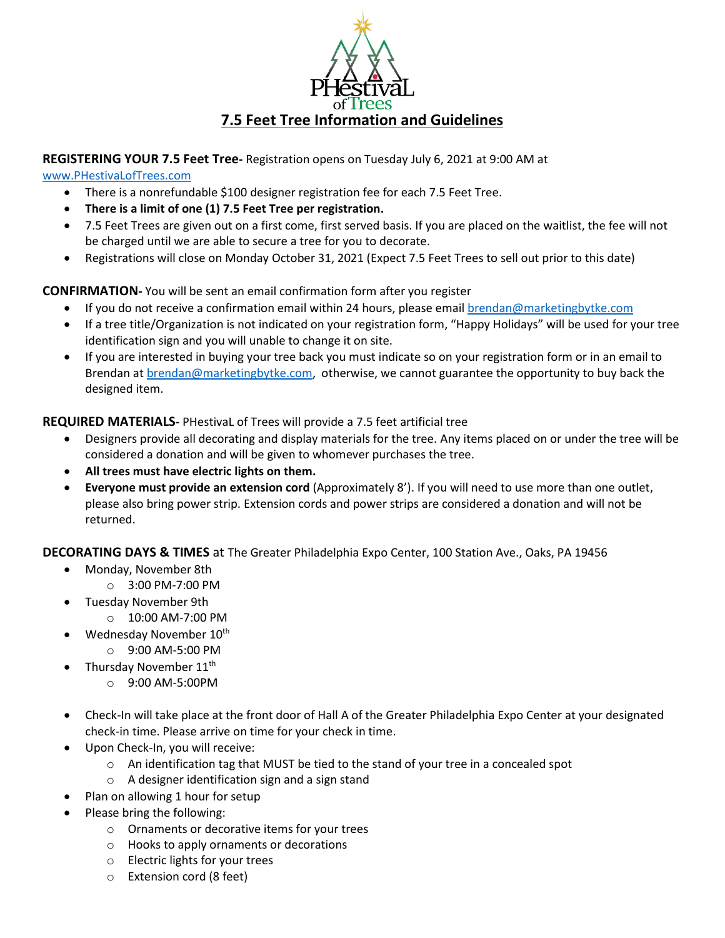

## **REGISTERING YOUR 7.5 Feet Tree-** Registration opens on Tuesday July 6, 2021 at 9:00 AM at

[www.PHestivaLofTrees.com](http://www.phestivaloftrees.com/)

- There is a nonrefundable \$100 designer registration fee for each 7.5 Feet Tree.
- **There is a limit of one (1) 7.5 Feet Tree per registration.**
- 7.5 Feet Trees are given out on a first come, first served basis. If you are placed on the waitlist, the fee will not be charged until we are able to secure a tree for you to decorate.
- Registrations will close on Monday October 31, 2021 (Expect 7.5 Feet Trees to sell out prior to this date)

**CONFIRMATION-** You will be sent an email confirmation form after you register

- If you do not receive a confirmation email within 24 hours, please email [brendan@marketingbytke.com](mailto:brendan@marketingbytke.com)
- If a tree title/Organization is not indicated on your registration form, "Happy Holidays" will be used for your tree identification sign and you will unable to change it on site.
- If you are interested in buying your tree back you must indicate so on your registration form or in an email to Brendan at **brendan@marketingbytke.com**, otherwise, we cannot guarantee the opportunity to buy back the designed item.

**REQUIRED MATERIALS-** PHestivaL of Trees will provide a 7.5 feet artificial tree

- Designers provide all decorating and display materials for the tree. Any items placed on or under the tree will be considered a donation and will be given to whomever purchases the tree.
- **All trees must have electric lights on them.**
- **Everyone must provide an extension cord** (Approximately 8'). If you will need to use more than one outlet, please also bring power strip. Extension cords and power strips are considered a donation and will not be returned.

**DECORATING DAYS & TIMES** at The Greater Philadelphia Expo Center, 100 Station Ave., Oaks, PA 19456

- Monday, November 8th
	- o 3:00 PM-7:00 PM
	- Tuesday November 9th
		- o 10:00 AM-7:00 PM
- Wednesday November 10<sup>th</sup>
	- o 9:00 AM-5:00 PM
- Thursday November 11<sup>th</sup>
	- o 9:00 AM-5:00PM
- Check-In will take place at the front door of Hall A of the Greater Philadelphia Expo Center at your designated check-in time. Please arrive on time for your check in time.
- Upon Check-In, you will receive:
	- $\circ$  An identification tag that MUST be tied to the stand of your tree in a concealed spot
	- o A designer identification sign and a sign stand
	- Plan on allowing 1 hour for setup
- Please bring the following:
	- o Ornaments or decorative items for your trees
	- o Hooks to apply ornaments or decorations
	- o Electric lights for your trees
	- o Extension cord (8 feet)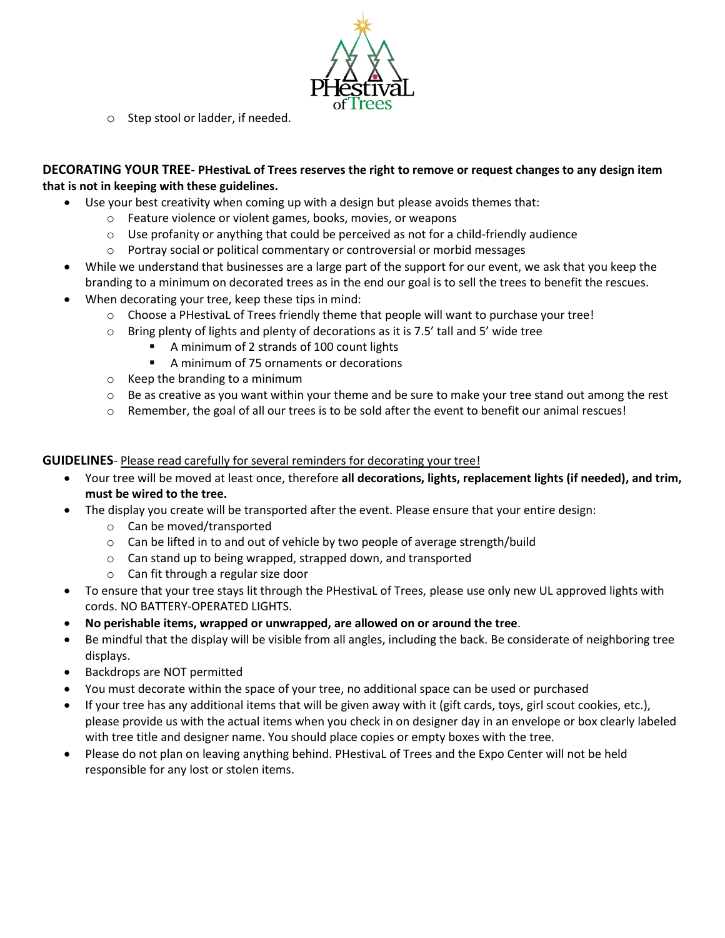

o Step stool or ladder, if needed.

## **DECORATING YOUR TREE- PHestivaL of Trees reserves the right to remove or request changes to any design item that is not in keeping with these guidelines.**

- Use your best creativity when coming up with a design but please avoids themes that:
	- o Feature violence or violent games, books, movies, or weapons
	- $\circ$  Use profanity or anything that could be perceived as not for a child-friendly audience
	- $\circ$  Portray social or political commentary or controversial or morbid messages
- While we understand that businesses are a large part of the support for our event, we ask that you keep the branding to a minimum on decorated trees as in the end our goal is to sell the trees to benefit the rescues.
- When decorating your tree, keep these tips in mind:
	- $\circ$  Choose a PHestivaL of Trees friendly theme that people will want to purchase your tree!
	- $\circ$  Bring plenty of lights and plenty of decorations as it is 7.5' tall and 5' wide tree
		- A minimum of 2 strands of 100 count lights
			- A minimum of 75 ornaments or decorations
	- o Keep the branding to a minimum
	- $\circ$  Be as creative as you want within your theme and be sure to make your tree stand out among the rest
	- o Remember, the goal of all our trees is to be sold after the event to benefit our animal rescues!

## **GUIDELINES**- Please read carefully for several reminders for decorating your tree!

- Your tree will be moved at least once, therefore **all decorations, lights, replacement lights (if needed), and trim, must be wired to the tree.**
- The display you create will be transported after the event. Please ensure that your entire design:
	- o Can be moved/transported
	- $\circ$  Can be lifted in to and out of vehicle by two people of average strength/build
	- o Can stand up to being wrapped, strapped down, and transported
	- o Can fit through a regular size door
- To ensure that your tree stays lit through the PHestivaL of Trees, please use only new UL approved lights with cords. NO BATTERY-OPERATED LIGHTS.
- **No perishable items, wrapped or unwrapped, are allowed on or around the tree**.
- Be mindful that the display will be visible from all angles, including the back. Be considerate of neighboring tree displays.
- Backdrops are NOT permitted
- You must decorate within the space of your tree, no additional space can be used or purchased
- If your tree has any additional items that will be given away with it (gift cards, toys, girl scout cookies, etc.), please provide us with the actual items when you check in on designer day in an envelope or box clearly labeled with tree title and designer name. You should place copies or empty boxes with the tree.
- Please do not plan on leaving anything behind. PHestivaL of Trees and the Expo Center will not be held responsible for any lost or stolen items.